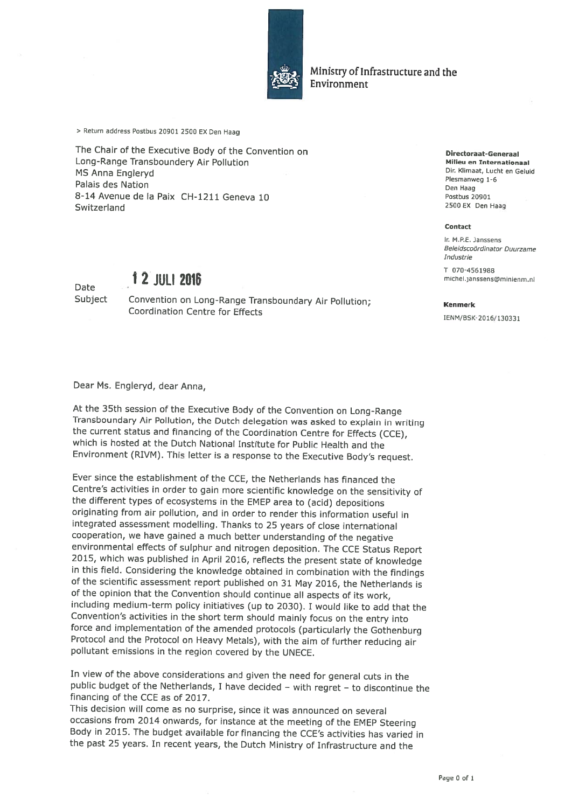

Ministry of Infrastructure and the Environment

<sup>&</sup>gt; Return address Postbus <sup>20901</sup> <sup>2500</sup> EX Den Haag

The Chair of the Executive Body of the Convention on Directoraat-Generaal Long-Range Transboundery Air Pollution Milieu en Internationaal Milieu en Internationaal Milieu en Internationaa<br>MS Anna Englanyd MS Anna Engleryd Dr, Klimaat, Lucht en Geluid Plesmanweg 1-6 Palais des Nation Den Haag 8-14 Avenue de la Paix CH-1211 Geneva 10 Postbus 20901 Switzerland <sup>2500</sup> EX Den Haag

## <sup>1</sup> <sup>2</sup> JULI <sup>2016</sup> michel.janssens@minienm.nl Date

## Subject Convention on Long-Range Transboundary Air Pollution; Kenmerk Coordination Centre for Effects

## Dear Ms. Engleryd, dear Anna,

At the 35th session of the Executive Body of the Convention on Long-Range<br>Transboundary Air Pollution, the Dutch delegation was asked to explain in writing the current status and financing of the Coordination Centre for Effects (CCE), which is hosted at the Dutch National Institute for Public Health and the Environment (RIVM). This letter is <sup>a</sup> response to the Executive Body's request.

Ever since the establishment of the CCE, the Netherlands has financed the Centre's activities in order to gain more scientific knowledge on the sensitivity of the different types of ecosystems in the EMEP area to (acid) depositions originating from air pollution, and in order to render this information useful in integrated assessment modelling. Thanks to <sup>25</sup> years of close international cooperation, we have gained <sup>a</sup> much better understanding of the negative 2015, which was published in April 2016, reflects the present state of knowledge in this field. Considering the knowledge obtained in combination with the findings of the scientific assessment report published on 31 May 20 of the opinion that the Convention should continue all aspects of its work, including medium-term policy initiatives (up to 2030). <sup>1</sup> would like to add that the Convention's activities in the short term should mainly focus on the entry into farce and implementation of the amended protocols (particularly the Gothenburg Protocol and the Protocol on Heavy Metals), with the aim of further reducing air pollutant emissions in the region covered by the UNECE.

In view of the above considerations and <sup>g</sup>iven the need for general cuts in the public budget of the Netherlands, <sup>1</sup> have decided — with regret — to discontinue the financing of the CCE as of 2017.

This decision will come as no surprise, since it was announced on several occasions from <sup>2014</sup> onwards, for instance at the meeting of the EMEP Steering Body in 2015. The budget available for financing the CCE's activities has varied in the past <sup>25</sup> years. In recent years, the Dutch Ministry of Infrastructure and the

## Contact

ir. M.P.E. Janssens Beleidscoördinator Duurzame Industrie

T 070-4561988

IENM/BSK-2016/130331